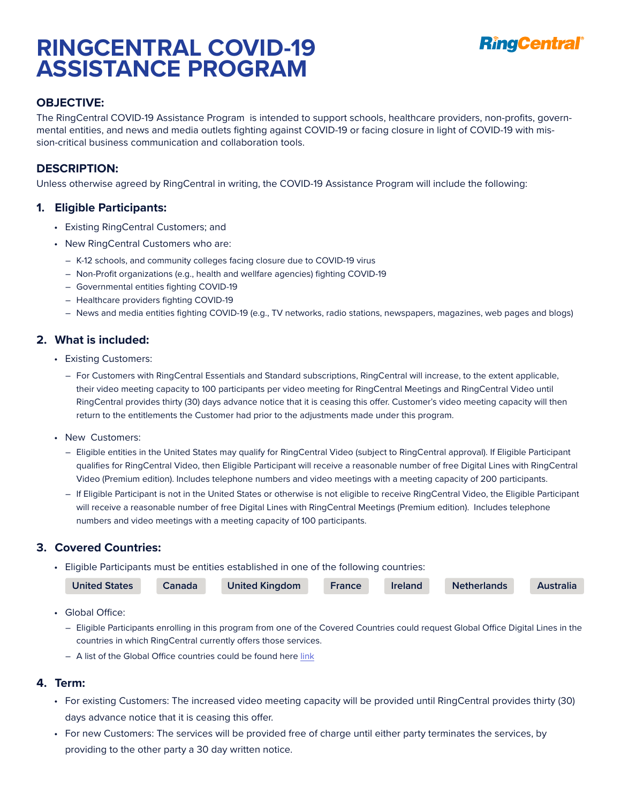# **RINGCENTRAL COVID-19 ASSISTANCE PROGRAM**



# **OBJECTIVE:**

The RingCentral COVID-19 Assistance Program is intended to support schools, healthcare providers, non-profits, governmental entities, and news and media outlets fighting against COVID-19 or facing closure in light of COVID-19 with mission-critical business communication and collaboration tools.

## **DESCRIPTION:**

Unless otherwise agreed by RingCentral in writing, the COVID-19 Assistance Program will include the following:

#### **1. Eligible Participants:**

- Existing RingCentral Customers; and
- New RingCentral Customers who are:
	- ― K-12 schools, and community colleges facing closure due to COVID-19 virus
	- ― Non-Profit organizations (e.g., health and wellfare agencies) fighting COVID-19
	- ― Governmental entities fighting COVID-19
	- ― Healthcare providers fighting COVID-19
	- ― News and media entities fighting COVID-19 (e.g., TV networks, radio stations, newspapers, magazines, web pages and blogs)

#### **2. What is included:**

- Existing Customers:
	- ― For Customers with RingCentral Essentials and Standard subscriptions, RingCentral will increase, to the extent applicable, their video meeting capacity to 100 participants per video meeting for RingCentral Meetings and RingCentral Video until RingCentral provides thirty (30) days advance notice that it is ceasing this offer. Customer's video meeting capacity will then return to the entitlements the Customer had prior to the adjustments made under this program.
- New Customers:
	- ― Eligible entities in the United States may qualify for RingCentral Video (subject to RingCentral approval). If Eligible Participant qualifies for RingCentral Video, then Eligible Participant will receive a reasonable number of free Digital Lines with RingCentral Video (Premium edition). Includes telephone numbers and video meetings with a meeting capacity of 200 participants.
	- ― If Eligible Participant is not in the United States or otherwise is not eligible to receive RingCentral Video, the Eligible Participant will receive a reasonable number of free Digital Lines with RingCentral Meetings (Premium edition). Includes telephone numbers and video meetings with a meeting capacity of 100 participants.

## **3. Covered Countries:**

• Eligible Participants must be entities established in one of the following countries:

| <b>United States</b> | Canada | <b>United Kingdom</b> | France | <b>Ireland</b> | <b>Netherlands</b> | <b>Australia</b> |
|----------------------|--------|-----------------------|--------|----------------|--------------------|------------------|
|                      |        |                       |        |                |                    |                  |

- Global Office:
	- ― Eligible Participants enrolling in this program from one of the Covered Countries could request Global Office Digital Lines in the countries in which RingCentral currently offers those services.
	- A list of the Global Office countries could be found here [link](https://www.ringcentral.com/office/features/global-office-communications/solutions.html)

#### **4. Term:**

- For existing Customers: The increased video meeting capacity will be provided until RingCentral provides thirty (30) days advance notice that it is ceasing this offer.
- For new Customers: The services will be provided free of charge until either party terminates the services, by providing to the other party a 30 day written notice.